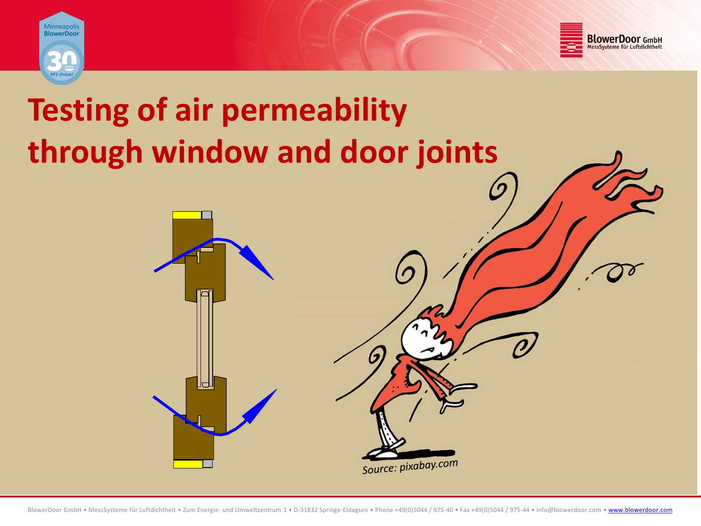



# **Testing of air permeability through window and door joints**

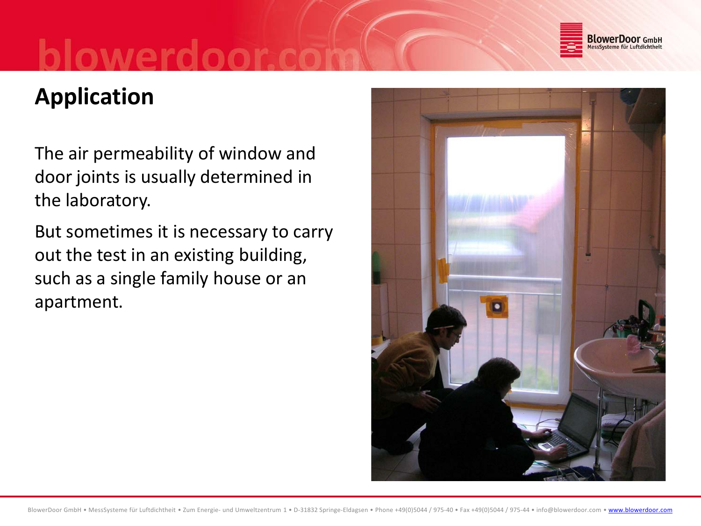

## **Application**

The air permeability of window and door joints is usually determined in the laboratory.

But sometimes it is necessary to carry out the test in an existing building, such as a single family house or an apartment.

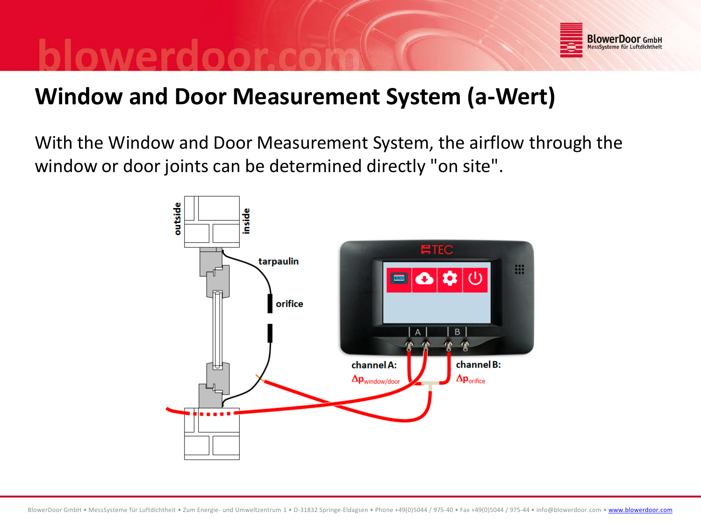

### **Window and Door Measurement System (a-Wert)**

With the Window and Door Measurement System, the airflow through the window or door joints can be determined directly "on site".

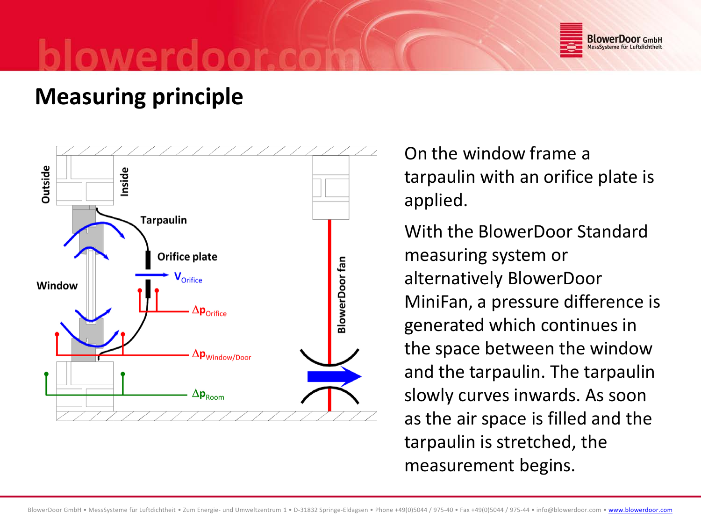

### **Measuring principle**



On the window frame a tarpaulin with an orifice plate is applied.

With the BlowerDoor Standard measuring system or alternatively BlowerDoor MiniFan, a pressure difference is generated which continues in the space between the window and the tarpaulin. The tarpaulin slowly curves inwards. As soon as the air space is filled and the tarpaulin is stretched, the measurement begins.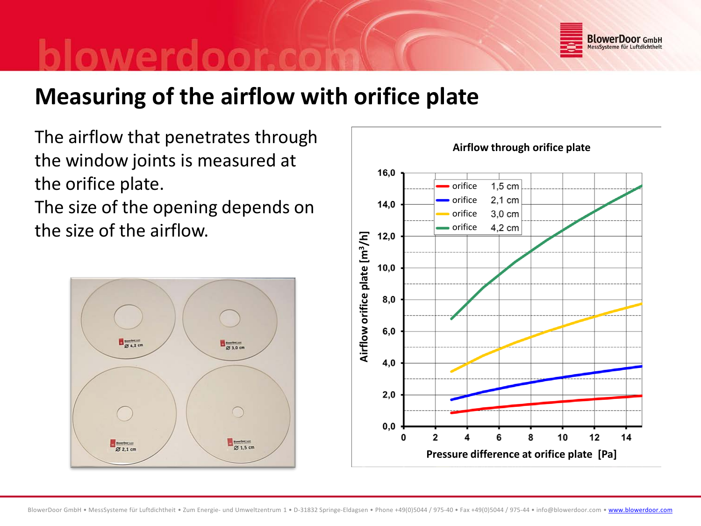

### **Measuring of the airflow with orifice plate**

The airflow that penetrates through the window joints is measured at the orifice plate.

The size of the opening depends on the size of the airflow.



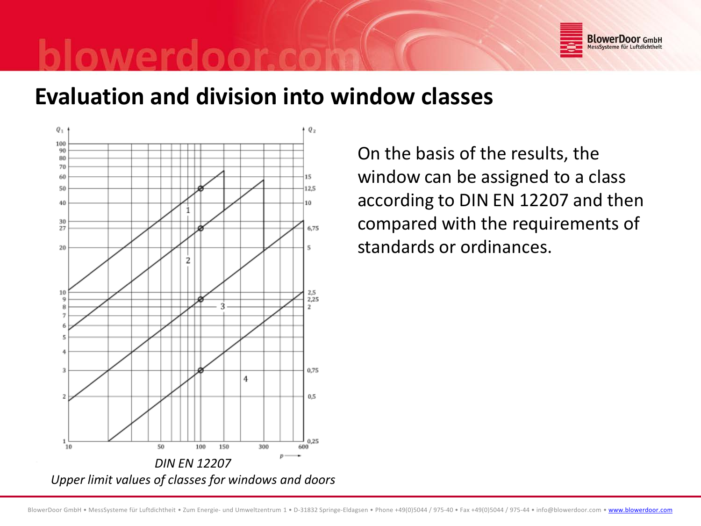

#### **Evaluation and division into window classes**



On the basis of the results, the window can be assigned to a class according to DIN EN 12207 and then compared with the requirements of standards or ordinances.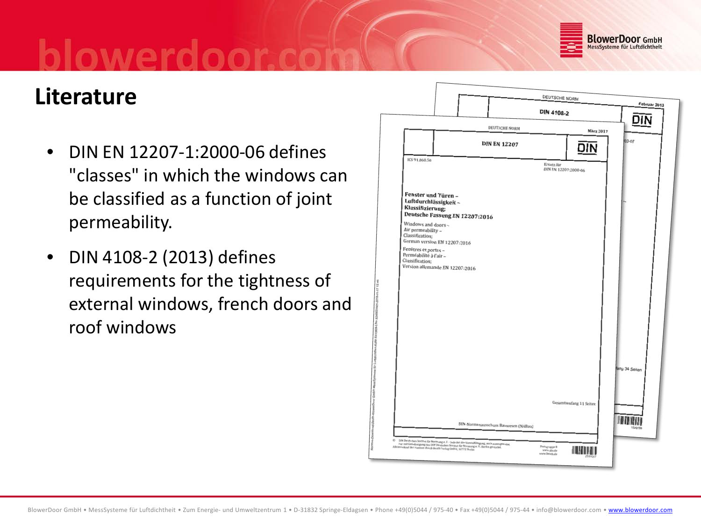

### **Literature**

- DIN EN 12207-1:2000-06 defines "classes" in which the windows can be classified as a function of joint permeability.
- DIN 4108-2 (2013) defines requirements for the tightness of external windows, french doors and roof windows